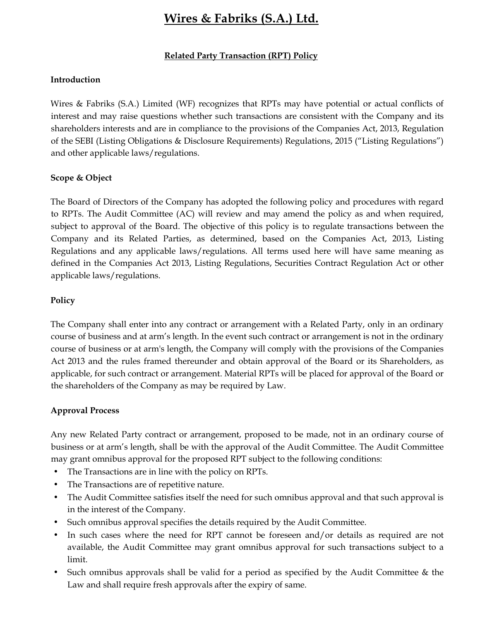## Wires & Fabriks (S.A.) Ltd.

#### Related Party Transaction (RPT) Policy

#### Introduction

Wires & Fabriks (S.A.) Limited (WF) recognizes that RPTs may have potential or actual conflicts of interest and may raise questions whether such transactions are consistent with the Company and its shareholders interests and are in compliance to the provisions of the Companies Act, 2013, Regulation of the SEBI (Listing Obligations & Disclosure Requirements) Regulations, 2015 ("Listing Regulations") and other applicable laws/regulations.

#### Scope & Object

The Board of Directors of the Company has adopted the following policy and procedures with regard to RPTs. The Audit Committee (AC) will review and may amend the policy as and when required, subject to approval of the Board. The objective of this policy is to regulate transactions between the Company and its Related Parties, as determined, based on the Companies Act, 2013, Listing Regulations and any applicable laws/regulations. All terms used here will have same meaning as defined in the Companies Act 2013, Listing Regulations, Securities Contract Regulation Act or other applicable laws/regulations.

#### Policy

The Company shall enter into any contract or arrangement with a Related Party, only in an ordinary course of business and at arm's length. In the event such contract or arrangement is not in the ordinary course of business or at arm's length, the Company will comply with the provisions of the Companies Act 2013 and the rules framed thereunder and obtain approval of the Board or its Shareholders, as applicable, for such contract or arrangement. Material RPTs will be placed for approval of the Board or the shareholders of the Company as may be required by Law.

### Approval Process

Any new Related Party contract or arrangement, proposed to be made, not in an ordinary course of business or at arm's length, shall be with the approval of the Audit Committee. The Audit Committee may grant omnibus approval for the proposed RPT subject to the following conditions:

- The Transactions are in line with the policy on RPTs.
- The Transactions are of repetitive nature.
- The Audit Committee satisfies itself the need for such omnibus approval and that such approval is in the interest of the Company.
- Such omnibus approval specifies the details required by the Audit Committee.
- In such cases where the need for RPT cannot be foreseen and/or details as required are not available, the Audit Committee may grant omnibus approval for such transactions subject to a limit.
- Such omnibus approvals shall be valid for a period as specified by the Audit Committee & the Law and shall require fresh approvals after the expiry of same.